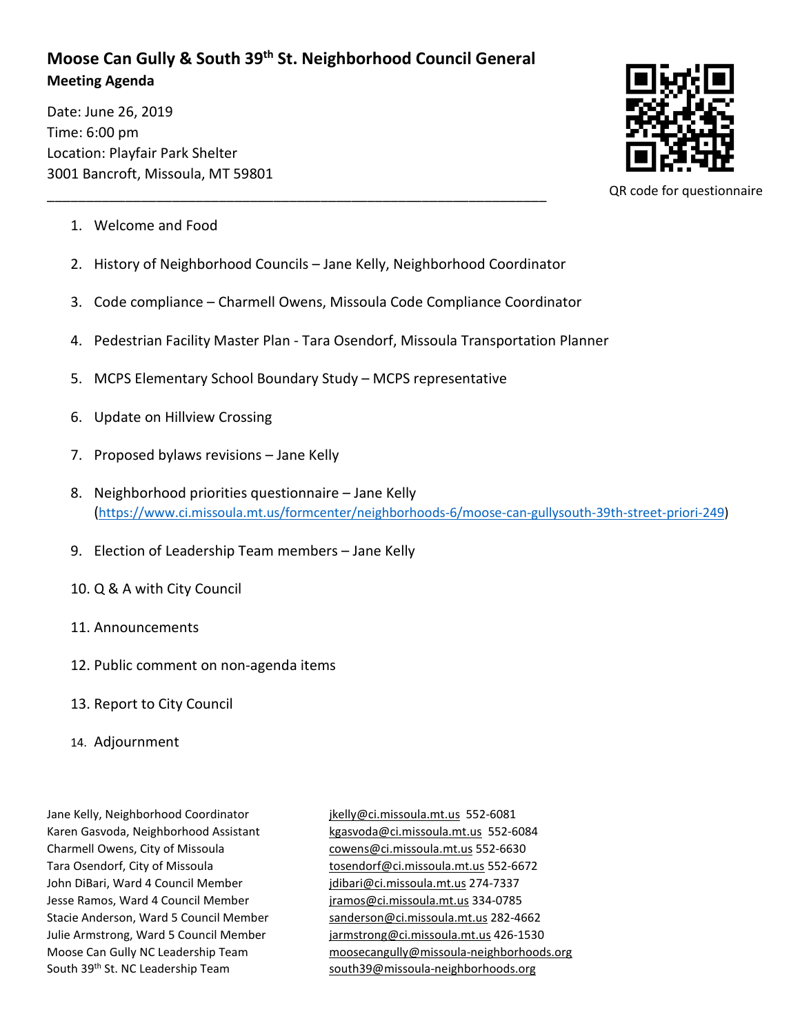## **Moose Can Gully & South 39th St. Neighborhood Council General Meeting Agenda**

\_\_\_\_\_\_\_\_\_\_\_\_\_\_\_\_\_\_\_\_\_\_\_\_\_\_\_\_\_\_\_\_\_\_\_\_\_\_\_\_\_\_\_\_\_\_\_\_\_\_\_\_\_\_\_\_\_\_\_\_\_\_\_\_

Date: June 26, 2019 Time: 6:00 pm Location: Playfair Park Shelter 3001 Bancroft, Missoula, MT 59801



QR code for questionnaire

- 1. Welcome and Food
- 2. History of Neighborhood Councils Jane Kelly, Neighborhood Coordinator
- 3. Code compliance Charmell Owens, Missoula Code Compliance Coordinator
- 4. Pedestrian Facility Master Plan Tara Osendorf, Missoula Transportation Planner
- 5. MCPS Elementary School Boundary Study MCPS representative
- 6. Update on Hillview Crossing
- 7. Proposed bylaws revisions Jane Kelly
- 8. Neighborhood priorities questionnaire Jane Kelly [\(https://www.ci.missoula.mt.us/formcenter/neighborhoods-6/moose-can-gullysouth-39th-street-priori-249\)](https://www.ci.missoula.mt.us/formcenter/neighborhoods-6/moose-can-gullysouth-39th-street-priori-249)
- 9. Election of Leadership Team members Jane Kelly
- 10. Q & A with City Council
- 11. Announcements
- 12. Public comment on non-agenda items
- 13. Report to City Council
- 14. Adjournment

Jane Kelly, Neighborhood Coordinator in its induced in the state of the SS2-6081 Karen Gasvoda, Neighborhood Assistant [kgasvoda@ci.missoula.mt.us](mailto:kgasvoda@ci.missoula.mt.us) 552-6084 Charmell Owens, City of Missoula [cowens@ci.missoula.mt.us](mailto:cowens@ci.missoula.mt.us) 552-6630 Tara Osendorf, City of Missoula [tosendorf@ci.missoula.mt.us](mailto:tosendorf@ci.missoula.mt.us) 552-6672 John DiBari, Ward 4 Council Member [jdibari@ci.missoula.mt.us](mailto:jdibari@ci.missoula.mt.us) 274-7337 Jesse Ramos, Ward 4 Council Member [jramos@ci.missoula.mt.us](mailto:jramos@ci.missoula.mt.us) 334-0785 Stacie Anderson, Ward 5 Council Member [sanderson@ci.missoula.mt.us](mailto:sanderson@ci.missoula.mt.us) 282-4662 Julie Armstrong, Ward 5 Council Member [jarmstrong@ci.missoula.mt.us](mailto:jarmstrong@ci.missoula.mt.us) 426-1530 South 39<sup>th</sup> St. NC Leadership Team [south39@missoula-neighborhoods.org](mailto:south39@missoula-neighborhoods.org)

Moose Can Gully NC Leadership Team [moosecangully@missoula-neighborhoods.org](mailto:moosecangully@missoula-neighborhoods.org)